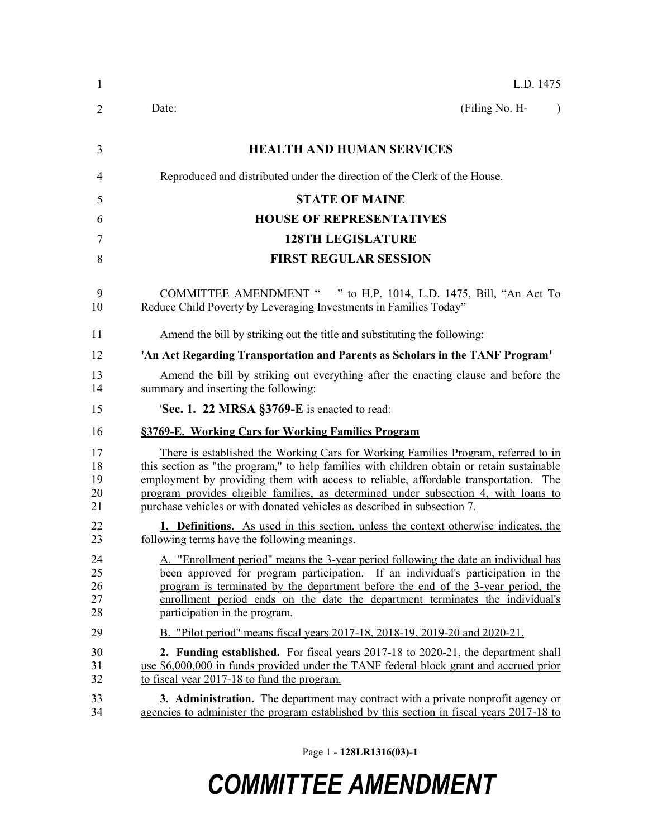| $\mathbf{1}$               | L.D. 1475                                                                                                                                                                                                                                                                                                                                                                                                                                          |  |  |  |  |
|----------------------------|----------------------------------------------------------------------------------------------------------------------------------------------------------------------------------------------------------------------------------------------------------------------------------------------------------------------------------------------------------------------------------------------------------------------------------------------------|--|--|--|--|
| $\overline{2}$             | Date:<br>(Filing No. H-<br>$\lambda$                                                                                                                                                                                                                                                                                                                                                                                                               |  |  |  |  |
| 3                          | <b>HEALTH AND HUMAN SERVICES</b>                                                                                                                                                                                                                                                                                                                                                                                                                   |  |  |  |  |
| 4                          | Reproduced and distributed under the direction of the Clerk of the House.                                                                                                                                                                                                                                                                                                                                                                          |  |  |  |  |
| 5                          | <b>STATE OF MAINE</b>                                                                                                                                                                                                                                                                                                                                                                                                                              |  |  |  |  |
| 6                          | <b>HOUSE OF REPRESENTATIVES</b>                                                                                                                                                                                                                                                                                                                                                                                                                    |  |  |  |  |
| 7                          | <b>128TH LEGISLATURE</b>                                                                                                                                                                                                                                                                                                                                                                                                                           |  |  |  |  |
| 8                          | <b>FIRST REGULAR SESSION</b>                                                                                                                                                                                                                                                                                                                                                                                                                       |  |  |  |  |
| 9<br>10                    | COMMITTEE AMENDMENT " " to H.P. 1014, L.D. 1475, Bill, "An Act To<br>Reduce Child Poverty by Leveraging Investments in Families Today"                                                                                                                                                                                                                                                                                                             |  |  |  |  |
| 11                         | Amend the bill by striking out the title and substituting the following:                                                                                                                                                                                                                                                                                                                                                                           |  |  |  |  |
| 12                         | 'An Act Regarding Transportation and Parents as Scholars in the TANF Program'                                                                                                                                                                                                                                                                                                                                                                      |  |  |  |  |
| 13<br>14                   | Amend the bill by striking out everything after the enacting clause and before the<br>summary and inserting the following:                                                                                                                                                                                                                                                                                                                         |  |  |  |  |
| 15                         | 'Sec. 1. 22 MRSA §3769-E is enacted to read:                                                                                                                                                                                                                                                                                                                                                                                                       |  |  |  |  |
| 16                         | §3769-E. Working Cars for Working Families Program                                                                                                                                                                                                                                                                                                                                                                                                 |  |  |  |  |
| 17<br>18<br>19<br>20<br>21 | <u>There is established the Working Cars for Working Families Program, referred to in</u><br>this section as "the program," to help families with children obtain or retain sustainable<br>employment by providing them with access to reliable, affordable transportation. The<br>program provides eligible families, as determined under subsection 4, with loans to<br>purchase vehicles or with donated vehicles as described in subsection 7. |  |  |  |  |
| 22<br>23                   | 1. Definitions. As used in this section, unless the context otherwise indicates, the<br>following terms have the following meanings.                                                                                                                                                                                                                                                                                                               |  |  |  |  |
| 24<br>25<br>26<br>27<br>28 | A. "Enrollment period" means the 3-year period following the date an individual has<br>been approved for program participation. If an individual's participation in the<br>program is terminated by the department before the end of the 3-year period, the<br>enrollment period ends on the date the department terminates the individual's<br>participation in the program.                                                                      |  |  |  |  |
| 29                         | B. "Pilot period" means fiscal years 2017-18, 2018-19, 2019-20 and 2020-21.                                                                                                                                                                                                                                                                                                                                                                        |  |  |  |  |
| 30<br>31<br>32             | <b>2. Funding established.</b> For fiscal years 2017-18 to 2020-21, the department shall<br>use \$6,000,000 in funds provided under the TANF federal block grant and accrued prior<br>to fiscal year 2017-18 to fund the program.                                                                                                                                                                                                                  |  |  |  |  |
| 33<br>34                   | <b>3. Administration.</b> The department may contract with a private nonprofit agency or<br>agencies to administer the program established by this section in fiscal years 2017-18 to                                                                                                                                                                                                                                                              |  |  |  |  |

Page 1 **- 128LR1316(03)-1**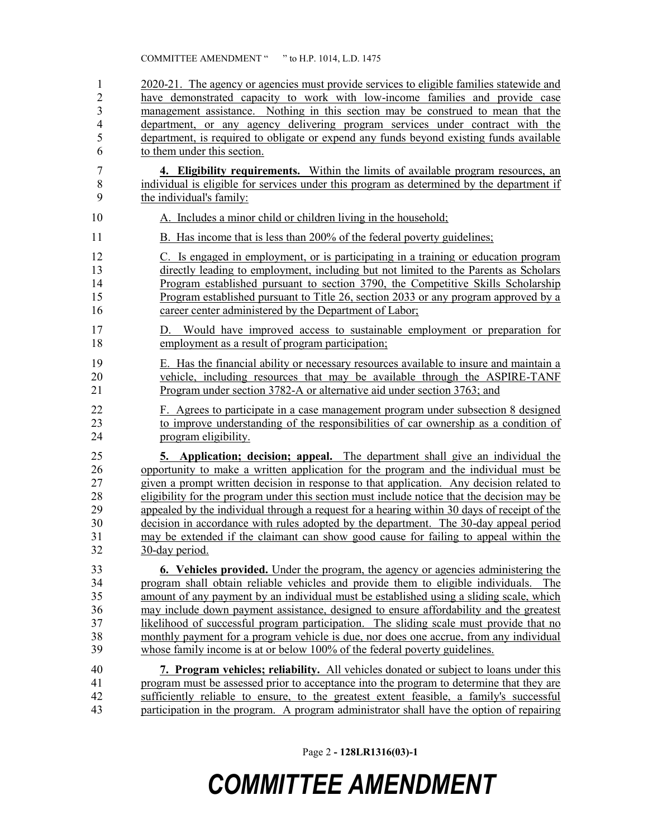2020-21. The agency or agencies must provide services to eligible families statewide and have demonstrated capacity to work with low-income families and provide case management assistance. Nothing in this section may be construed to mean that the department, or any agency delivering program services under contract with the department, is required to obligate or expend any funds beyond existing funds available to them under this section. **4. Eligibility requirements.** Within the limits of available program resources, an individual is eligible for services under this program as determined by the department if the individual's family: 10 A. Includes a minor child or children living in the household; 11 B. Has income that is less than 200% of the federal poverty guidelines; C. Is engaged in employment, or is participating in a training or education program directly leading to employment, including but not limited to the Parents as Scholars Program established pursuant to section 3790, the Competitive Skills Scholarship Program established pursuant to Title 26, section 2033 or any program approved by a career center administered by the Department of Labor; D. Would have improved access to sustainable employment or preparation for 18 employment as a result of program participation; E. Has the financial ability or necessary resources available to insure and maintain a vehicle, including resources that may be available through the ASPIRE-TANF Program under section 3782-A or alternative aid under section 3763; and F. Agrees to participate in a case management program under subsection 8 designed to improve understanding of the responsibilities of car ownership as a condition of program eligibility. **5. Application; decision; appeal.** The department shall give an individual the opportunity to make a written application for the program and the individual must be given a prompt written decision in response to that application. Any decision related to eligibility for the program under this section must include notice that the decision may be appealed by the individual through a request for a hearing within 30 days of receipt of the

 decision in accordance with rules adopted by the department. The 30-day appeal period may be extended if the claimant can show good cause for failing to appeal within the 30-day period.

 **6. Vehicles provided.** Under the program, the agency or agencies administering the program shall obtain reliable vehicles and provide them to eligible individuals. The amount of any payment by an individual must be established using a sliding scale, which may include down payment assistance, designed to ensure affordability and the greatest likelihood of successful program participation. The sliding scale must provide that no monthly payment for a program vehicle is due, nor does one accrue, from any individual whose family income is at or below 100% of the federal poverty guidelines.

 **7. Program vehicles; reliability.** All vehicles donated or subject to loans under this program must be assessed prior to acceptance into the program to determine that they are sufficiently reliable to ensure, to the greatest extent feasible, a family's successful participation in the program. A program administrator shall have the option of repairing

Page 2 **- 128LR1316(03)-1**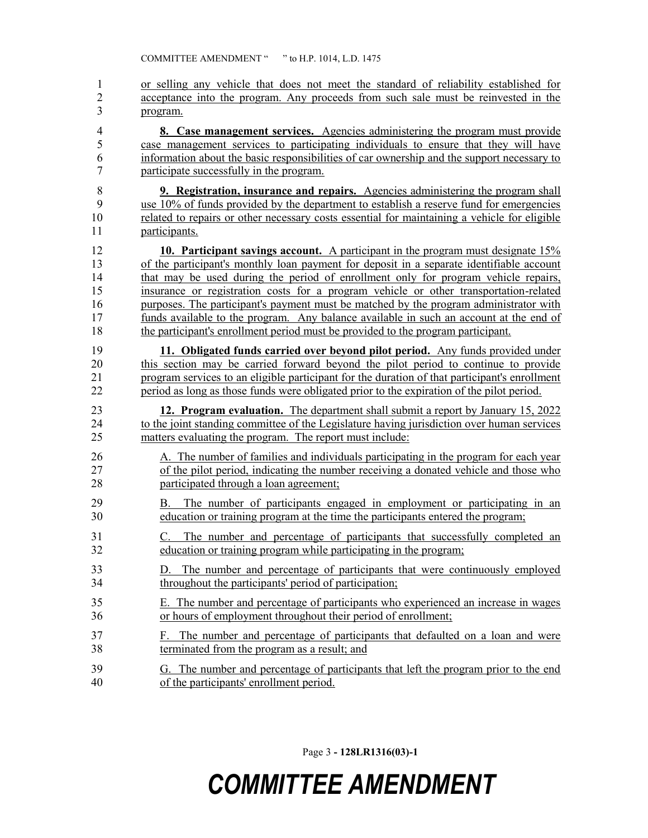or selling any vehicle that does not meet the standard of reliability established for acceptance into the program. Any proceeds from such sale must be reinvested in the program.

 **8. Case management services.** Agencies administering the program must provide case management services to participating individuals to ensure that they will have information about the basic responsibilities of car ownership and the support necessary to participate successfully in the program.

 **9. Registration, insurance and repairs.** Agencies administering the program shall use 10% of funds provided by the department to establish a reserve fund for emergencies related to repairs or other necessary costs essential for maintaining a vehicle for eligible participants.

 **10. Participant savings account.** A participant in the program must designate 15% of the participant's monthly loan payment for deposit in a separate identifiable account that may be used during the period of enrollment only for program vehicle repairs, insurance or registration costs for a program vehicle or other transportation-related purposes. The participant's payment must be matched by the program administrator with funds available to the program. Any balance available in such an account at the end of the participant's enrollment period must be provided to the program participant.

 **11. Obligated funds carried over beyond pilot period.** Any funds provided under this section may be carried forward beyond the pilot period to continue to provide 21 program services to an eligible participant for the duration of that participant's enrollment<br>22 period as long as those funds were obligated prior to the expiration of the pilot period. period as long as those funds were obligated prior to the expiration of the pilot period.

 **12. Program evaluation.** The department shall submit a report by January 15, 2022 24 to the joint standing committee of the Legislature having jurisdiction over human services matters evaluating the program. The report must include:

- A. The number of families and individuals participating in the program for each year 27 of the pilot period, indicating the number receiving a donated vehicle and those who participated through a loan agreement;
- B. The number of participants engaged in employment or participating in an education or training program at the time the participants entered the program;
- C. The number and percentage of participants that successfully completed an education or training program while participating in the program;
- D. The number and percentage of participants that were continuously employed throughout the participants' period of participation;
- E. The number and percentage of participants who experienced an increase in wages or hours of employment throughout their period of enrollment;
- F. The number and percentage of participants that defaulted on a loan and were terminated from the program as a result; and
- G. The number and percentage of participants that left the program prior to the end of the participants' enrollment period.

Page 3 **- 128LR1316(03)-1**